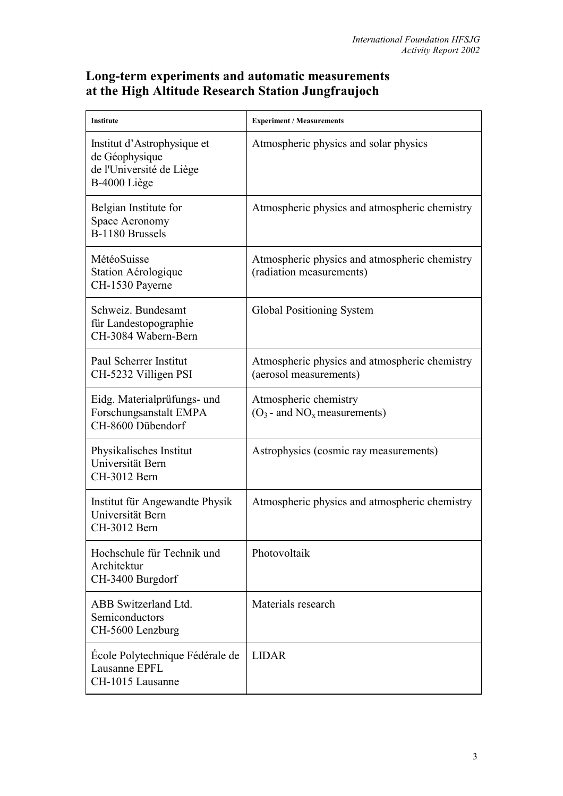## **Long-term experiments and automatic measurements at the High Altitude Research Station Jungfraujoch**

| Institute                                                                                 | <b>Experiment / Measurements</b>                                          |
|-------------------------------------------------------------------------------------------|---------------------------------------------------------------------------|
| Institut d'Astrophysique et<br>de Géophysique<br>de l'Université de Liège<br>B-4000 Liège | Atmospheric physics and solar physics                                     |
| Belgian Institute for<br>Space Aeronomy<br>B-1180 Brussels                                | Atmospheric physics and atmospheric chemistry                             |
| MétéoSuisse<br>Station Aérologique<br>CH-1530 Payerne                                     | Atmospheric physics and atmospheric chemistry<br>(radiation measurements) |
| Schweiz. Bundesamt<br>für Landestopographie<br>CH-3084 Wabern-Bern                        | Global Positioning System                                                 |
| Paul Scherrer Institut<br>CH-5232 Villigen PSI                                            | Atmospheric physics and atmospheric chemistry<br>(aerosol measurements)   |
| Eidg. Materialprüfungs- und<br>Forschungsanstalt EMPA<br>CH-8600 Dübendorf                | Atmospheric chemistry<br>$(O_3$ - and $NO_x$ measurements)                |
| Physikalisches Institut<br>Universität Bern<br>CH-3012 Bern                               | Astrophysics (cosmic ray measurements)                                    |
| Institut für Angewandte Physik<br>Universität Bern<br>CH-3012 Bern                        | Atmospheric physics and atmospheric chemistry                             |
| Hochschule für Technik und<br>Architektur<br>CH-3400 Burgdorf                             | Photovoltaik                                                              |
| ABB Switzerland Ltd.<br>Semiconductors<br>CH-5600 Lenzburg                                | Materials research                                                        |
| École Polytechnique Fédérale de<br>Lausanne EPFL<br>CH-1015 Lausanne                      | <b>LIDAR</b>                                                              |